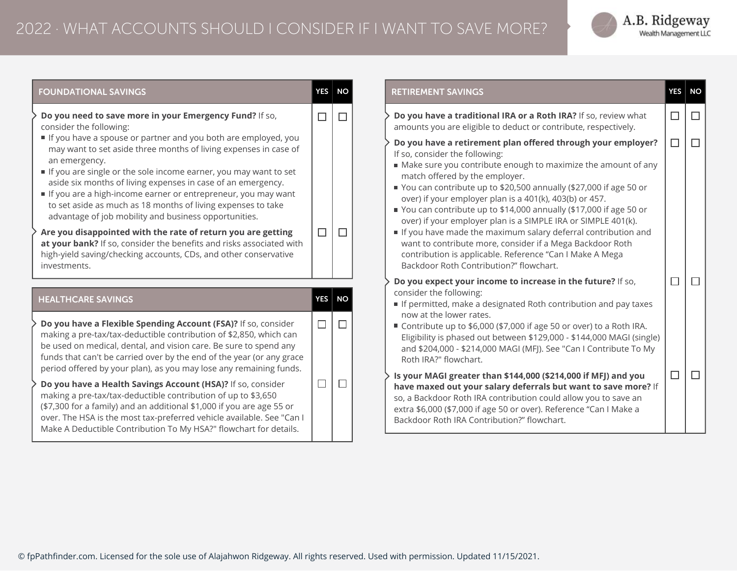## 2022 · WHAT ACCOUNTS SHOULD I CONSIDER IF I WANT TO SAVE MORE?



| <b>FOUNDATIONAL SAVINGS</b>                                                                                                                                                                                                                                                                                                                                                                                                                                                       | <b>YES</b>       | <b>NO</b> |
|-----------------------------------------------------------------------------------------------------------------------------------------------------------------------------------------------------------------------------------------------------------------------------------------------------------------------------------------------------------------------------------------------------------------------------------------------------------------------------------|------------------|-----------|
| Do you need to save more in your Emergency Fund? If so,<br>consider the following:                                                                                                                                                                                                                                                                                                                                                                                                | $\Box$           | $\Box$    |
| If you have a spouse or partner and you both are employed, you<br>may want to set aside three months of living expenses in case of<br>an emergency.<br>If you are single or the sole income earner, you may want to set<br>aside six months of living expenses in case of an emergency.<br>If you are a high-income earner or entrepreneur, you may want<br>to set aside as much as 18 months of living expenses to take<br>advantage of job mobility and business opportunities. |                  |           |
| Are you disappointed with the rate of return you are getting<br>at your bank? If so, consider the benefits and risks associated with<br>high-yield saving/checking accounts, CDs, and other conservative<br>investments.                                                                                                                                                                                                                                                          | $\Box$<br>$\Box$ |           |
| <b>HEALTHCARE SAVINGS</b>                                                                                                                                                                                                                                                                                                                                                                                                                                                         | YES              | <b>NO</b> |
| Do you have a Flexible Spending Account (FSA)? If so, consider<br>making a pre-tax/tax-deductible contribution of \$2,850, which can<br>be used on medical, dental, and vision care. Be sure to spend any<br>funds that can't be carried over by the end of the year (or any grace                                                                                                                                                                                                | □                | П         |
| period offered by your plan), as you may lose any remaining funds.<br>Do you have a Health Savings Account (HSA)? If so, consider<br>making a pre-tax/tax-deductible contribution of up to \$3,650<br>(\$7,300 for a family) and an additional \$1,000 if you are age 55 or<br>over. The HSA is the most tax-preferred vehicle available. See "Can I<br>Make A Deductible Contribution To My HSA?" flowchart for details.                                                         | □                | $\Box$    |

© fpPathfinder.com. Licensed for the sole use of Alajahwon Ridgeway. All rights reserved. Used with permission. Updated 11/15/2021.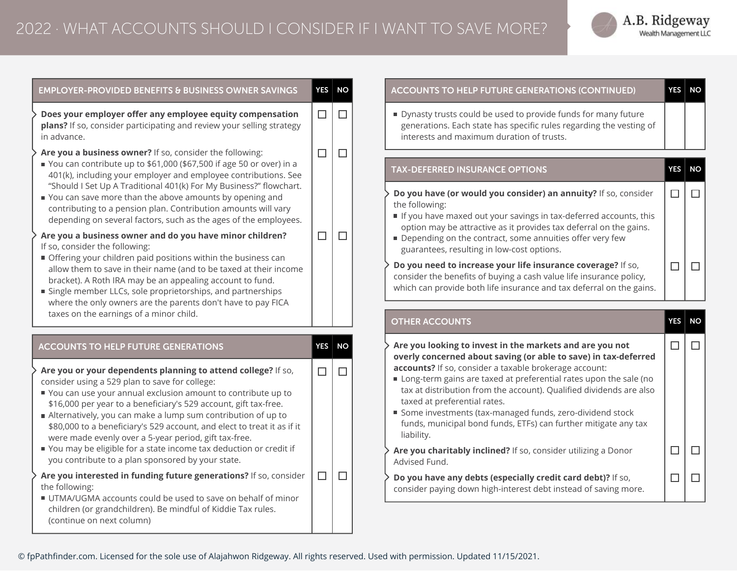

| <b>EMPLOYER-PROVIDED BENEFITS &amp; BUSINESS OWNER SAVINGS</b>                                                                                                                                                                                                                                                                                                                                                                                                                                                                                                                      | <b>YES</b> | <b>NO</b> |
|-------------------------------------------------------------------------------------------------------------------------------------------------------------------------------------------------------------------------------------------------------------------------------------------------------------------------------------------------------------------------------------------------------------------------------------------------------------------------------------------------------------------------------------------------------------------------------------|------------|-----------|
| Does your employer offer any employee equity compensation<br>plans? If so, consider participating and review your selling strategy                                                                                                                                                                                                                                                                                                                                                                                                                                                  | $\Box$     | $\Box$    |
| in advance.<br>Are you a business owner? If so, consider the following:<br>■ You can contribute up to \$61,000 (\$67,500 if age 50 or over) in a<br>401(k), including your employer and employee contributions. See<br>"Should I Set Up A Traditional 401(k) For My Business?" flowchart.<br>You can save more than the above amounts by opening and<br>contributing to a pension plan. Contribution amounts will vary<br>depending on several factors, such as the ages of the employees.                                                                                          | $\Box$     | П         |
| Are you a business owner and do you have minor children?<br>If so, consider the following:<br>Offering your children paid positions within the business can<br>allow them to save in their name (and to be taxed at their income<br>bracket). A Roth IRA may be an appealing account to fund.<br>Single member LLCs, sole proprietorships, and partnerships<br>where the only owners are the parents don't have to pay FICA<br>taxes on the earnings of a minor child.                                                                                                              | $\Box$     | П         |
| <b>ACCOUNTS TO HELP FUTURE GENERATIONS</b>                                                                                                                                                                                                                                                                                                                                                                                                                                                                                                                                          | <b>YES</b> | <b>NO</b> |
| Are you or your dependents planning to attend college? If so,<br>consider using a 529 plan to save for college:<br>■ You can use your annual exclusion amount to contribute up to<br>\$16,000 per year to a beneficiary's 529 account, gift tax-free.<br>Alternatively, you can make a lump sum contribution of up to<br>\$80,000 to a beneficiary's 529 account, and elect to treat it as if it<br>were made evenly over a 5-year period, gift tax-free.<br>You may be eligible for a state income tax deduction or credit if<br>you contribute to a plan sponsored by your state. | $\Box$     | П         |
| Are you interested in funding future generations? If so, consider<br>the following:<br>UTMA/UGMA accounts could be used to save on behalf of minor<br>children (or grandchildren). Be mindful of Kiddie Tax rules.<br>(continue on next column)                                                                                                                                                                                                                                                                                                                                     | $\Box$     | П         |

## **ACCOUNTS TO HELP FUTURE GENERATIONS (CONTINUED) YES NO**



Dynasty trusts could be used to provide funds for many future generations. Each state has specific rules regarding the vesting of interests and maximum duration of trusts.

## **TAX-DEFERRED INSURANCE OPTIONS YES NO Do you have (or would you consider) an annuity?** If so, consider  $\Box$  $\Box$ the following: If you have maxed out your savings in tax-deferred accounts, this option may be attractive as it provides tax deferral on the gains. Depending on the contract, some annuities offer very few guarantees, resulting in low-cost options. **Do you need to increase your life insurance coverage?** If so,  $\Box$  $\Box$

consider the benefits of buying a cash value life insurance policy, which can provide both life insurance and tax deferral on the gains.

|                                                                                                                                | <b>OTHER ACCOUNTS</b>                                                                                                                                                                                                                                                                                                                                                                                                                                                                                          | YES | NΟ |
|--------------------------------------------------------------------------------------------------------------------------------|----------------------------------------------------------------------------------------------------------------------------------------------------------------------------------------------------------------------------------------------------------------------------------------------------------------------------------------------------------------------------------------------------------------------------------------------------------------------------------------------------------------|-----|----|
|                                                                                                                                | Are you looking to invest in the markets and are you not<br>overly concerned about saving (or able to save) in tax-deferred<br>accounts? If so, consider a taxable brokerage account:<br>Long-term gains are taxed at preferential rates upon the sale (no<br>tax at distribution from the account). Qualified dividends are also<br>taxed at preferential rates.<br>Some investments (tax-managed funds, zero-dividend stock<br>funds, municipal bond funds, ETFs) can further mitigate any tax<br>liability. |     |    |
|                                                                                                                                | Are you charitably inclined? If so, consider utilizing a Donor<br>Advised Fund.                                                                                                                                                                                                                                                                                                                                                                                                                                |     |    |
| Do you have any debts (especially credit card debt)? If so,<br>consider paying down high-interest debt instead of saving more. |                                                                                                                                                                                                                                                                                                                                                                                                                                                                                                                |     |    |

© fpPathfinder.com. Licensed for the sole use of Alajahwon Ridgeway. All rights reserved. Used with permission. Updated 11/15/2021.